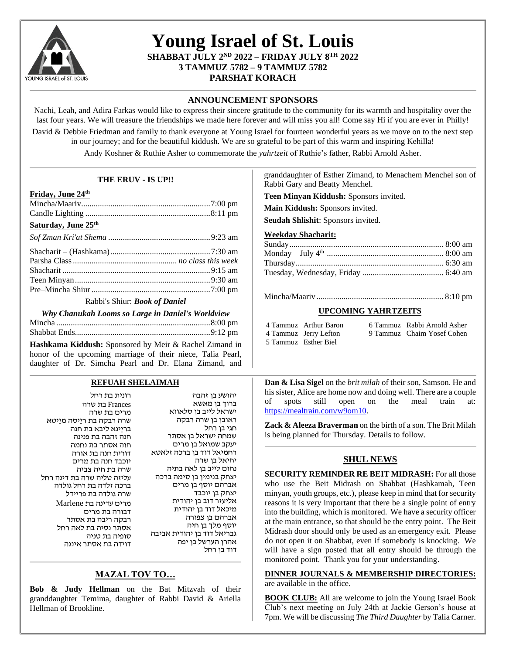

## **Young Israel of St. Louis SHABBAT JULY 2 ND 2022 – FRIDAY JULY 8 TH 2022 3 TAMMUZ 5782 – 9 TAMMUZ 5782 PARSHAT KORACH**

## **ANNOUNCEMENT SPONSORS**

Nachi, Leah, and Adira Farkas would like to express their sincere gratitude to the community for its warmth and hospitality over the last four years. We will treasure the friendships we made here forever and will miss you all! Come say Hi if you are ever in Philly!

David & Debbie Friedman and family to thank everyone at Young Israel for fourteen wonderful years as we move on to the next step in our journey; and for the beautiful kiddush. We are so grateful to be part of this warm and inspiring Kehilla!

Andy Koshner & Ruthie Asher to commemorate the *yahrtzeit* of Ruthie's father, Rabbi Arnold Asher.

| THE ERUV - IS UP!!                                                                                                                               |                                                                             | granddaughter of Esther Zimand, to Menachem Menchel son of<br>Rabbi Gary and Beatty Menchel.                                                                                      |
|--------------------------------------------------------------------------------------------------------------------------------------------------|-----------------------------------------------------------------------------|-----------------------------------------------------------------------------------------------------------------------------------------------------------------------------------|
| Friday, June 24th                                                                                                                                |                                                                             | Teen Minyan Kiddush: Sponsors invited.                                                                                                                                            |
|                                                                                                                                                  |                                                                             | Main Kiddush: Sponsors invited.                                                                                                                                                   |
|                                                                                                                                                  |                                                                             |                                                                                                                                                                                   |
| Saturday, June 25th                                                                                                                              |                                                                             | Seudah Shlishit: Sponsors invited.                                                                                                                                                |
|                                                                                                                                                  |                                                                             | <b>Weekday Shacharit:</b>                                                                                                                                                         |
|                                                                                                                                                  |                                                                             |                                                                                                                                                                                   |
|                                                                                                                                                  |                                                                             |                                                                                                                                                                                   |
|                                                                                                                                                  |                                                                             |                                                                                                                                                                                   |
|                                                                                                                                                  |                                                                             |                                                                                                                                                                                   |
|                                                                                                                                                  |                                                                             |                                                                                                                                                                                   |
|                                                                                                                                                  |                                                                             |                                                                                                                                                                                   |
| Rabbi's Shiur: Book of Daniel                                                                                                                    |                                                                             |                                                                                                                                                                                   |
| Why Chanukah Looms so Large in Daniel's Worldview                                                                                                |                                                                             | <b>UPCOMING YAHRTZEITS</b>                                                                                                                                                        |
|                                                                                                                                                  |                                                                             | 4 Tammuz Arthur Baron<br>6 Tammuz Rabbi Arnold Asher                                                                                                                              |
|                                                                                                                                                  |                                                                             | 9 Tammuz Chaim Yosef Cohen<br>4 Tammuz Jerry Lefton                                                                                                                               |
| honor of the upcoming marriage of their niece, Talia Pearl,<br>daughter of Dr. Simcha Pearl and Dr. Elana Zimand, and<br><b>REFUAH SHELAIMAH</b> |                                                                             | Dan & Lisa Sigel on the brit milah of their son, Samson. He and                                                                                                                   |
| רונית בת רחל<br>Frances בת שרה<br>מרים בת שרה                                                                                                    | יהושע בן זהבה<br>ברוך בן מאשא<br>ישראל לייב בן סלאווא                       | his sister, Alice are home now and doing well. There are a couple<br>the<br>spots<br>still<br>open<br>on<br>meal<br>train<br>of<br>at:<br>https://mealtrain.com/w9om10.           |
| שרה רבקה בת ריַיסה מיֵיטא<br>בריַינא ליבא בת חנה<br>חנה זהבה בת פנינה<br>חוה אסתר בת נחמה                                                        | ראובן בן שרה רבקה<br>חגי בן רחל<br>שמחה ישראל בן אסתר<br>יעקב שמואל בן מרים | Zack & Aleeza Braverman on the birth of a son. The Brit Milah<br>is being planned for Thursday. Details to follow.                                                                |
| דורית חנה בת אורה<br>יוכבד חנה בת מרים                                                                                                           | רחמיאל דוד בן ברכה זלאטא<br>יחיאל בן שרה<br>נחום לייב בן לאה בתיה           | <b>SHUL NEWS</b>                                                                                                                                                                  |
| שרה בת חיה צביה<br>עליזה טליה שרה בת דינה רחל                                                                                                    | יצחק בנימין בן סימה ברכה                                                    | <b>SECURITY REMINDER RE BEIT MIDRASH:</b> For all those                                                                                                                           |
| ברכה זלדה בת רחל גולדה                                                                                                                           | אברהם יוסף בן מרים                                                          | who use the Beit Midrash on Shabbat (Hashkamah, Teen                                                                                                                              |
| שרה גולדה בת פריידל                                                                                                                              | יצחק בן יוכבד                                                               | minyan, youth groups, etc.), please keep in mind that for security                                                                                                                |
| מרים עדינה בת Marlene                                                                                                                            | אליעזר דוב בן יהודית                                                        | reasons it is very important that there be a single point of entry                                                                                                                |
| דבורה בת מרים                                                                                                                                    | מיכאל דוד בן יהודית<br>אברהם בן צפורה                                       | into the building, which is monitored. We have a security officer                                                                                                                 |
| רבקה ריבה בת אסתר                                                                                                                                | יוסף מלך בן חיה                                                             | at the main entrance, so that should be the entry point. The Beit                                                                                                                 |
| אסתר נסיה בת לאה רחל<br>סופיה בת טניה                                                                                                            | גבריאל דוד בן יהודית אביבה                                                  | Midrash door should only be used as an emergency exit. Please                                                                                                                     |
| דוידה בת אסתר אינגה                                                                                                                              | אהרן הערשל בן יפה<br>דוד בן רחל                                             | do not open it on Shabbat, even if somebody is knocking. We<br>will have a sign posted that all entry should be through the<br>monitored point. Thank you for your understanding. |
| <b>MAZAL TOV TO</b>                                                                                                                              |                                                                             | <b>DINNER JOURNALS &amp; MEMBERSHIP DIRECTORIES:</b><br>are available in the office.                                                                                              |

**Bob & Judy Hellman** on the Bat Mitzvah of their granddaughter Temima, daughter of Rabbi David & Ariella Hellman of Brookline.

**BOOK CLUB:** All are welcome to join the Young Israel Book Club's next meeting on July 24th at Jackie Gerson's house at 7pm. We will be discussing *The Third Daughter* by Talia Carner.